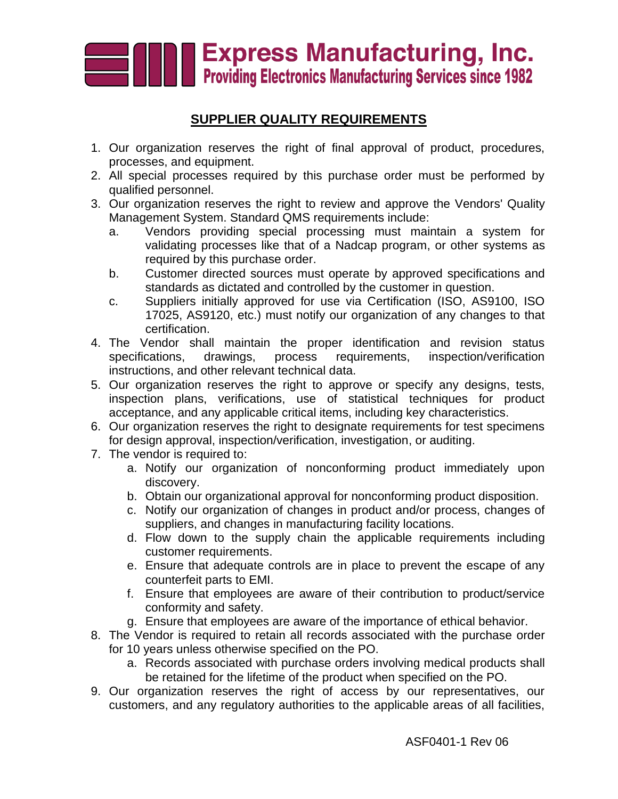

## **SUPPLIER QUALITY REQUIREMENTS**

- 1. Our organization reserves the right of final approval of product, procedures, processes, and equipment.
- 2. All special processes required by this purchase order must be performed by qualified personnel.
- 3. Our organization reserves the right to review and approve the Vendors' Quality Management System. Standard QMS requirements include:
	- a. Vendors providing special processing must maintain a system for validating processes like that of a Nadcap program, or other systems as required by this purchase order.
	- b. Customer directed sources must operate by approved specifications and standards as dictated and controlled by the customer in question.
	- c. Suppliers initially approved for use via Certification (ISO, AS9100, ISO 17025, AS9120, etc.) must notify our organization of any changes to that certification.
- 4. The Vendor shall maintain the proper identification and revision status specifications, drawings, process requirements, inspection/verification instructions, and other relevant technical data.
- 5. Our organization reserves the right to approve or specify any designs, tests, inspection plans, verifications, use of statistical techniques for product acceptance, and any applicable critical items, including key characteristics.
- 6. Our organization reserves the right to designate requirements for test specimens for design approval, inspection/verification, investigation, or auditing.
- 7. The vendor is required to:
	- a. Notify our organization of nonconforming product immediately upon discovery.
	- b. Obtain our organizational approval for nonconforming product disposition.
	- c. Notify our organization of changes in product and/or process, changes of suppliers, and changes in manufacturing facility locations.
	- d. Flow down to the supply chain the applicable requirements including customer requirements.
	- e. Ensure that adequate controls are in place to prevent the escape of any counterfeit parts to EMI.
	- f. Ensure that employees are aware of their contribution to product/service conformity and safety.
	- g. Ensure that employees are aware of the importance of ethical behavior.
- 8. The Vendor is required to retain all records associated with the purchase order for 10 years unless otherwise specified on the PO.
	- a. Records associated with purchase orders involving medical products shall be retained for the lifetime of the product when specified on the PO.
- 9. Our organization reserves the right of access by our representatives, our customers, and any regulatory authorities to the applicable areas of all facilities,